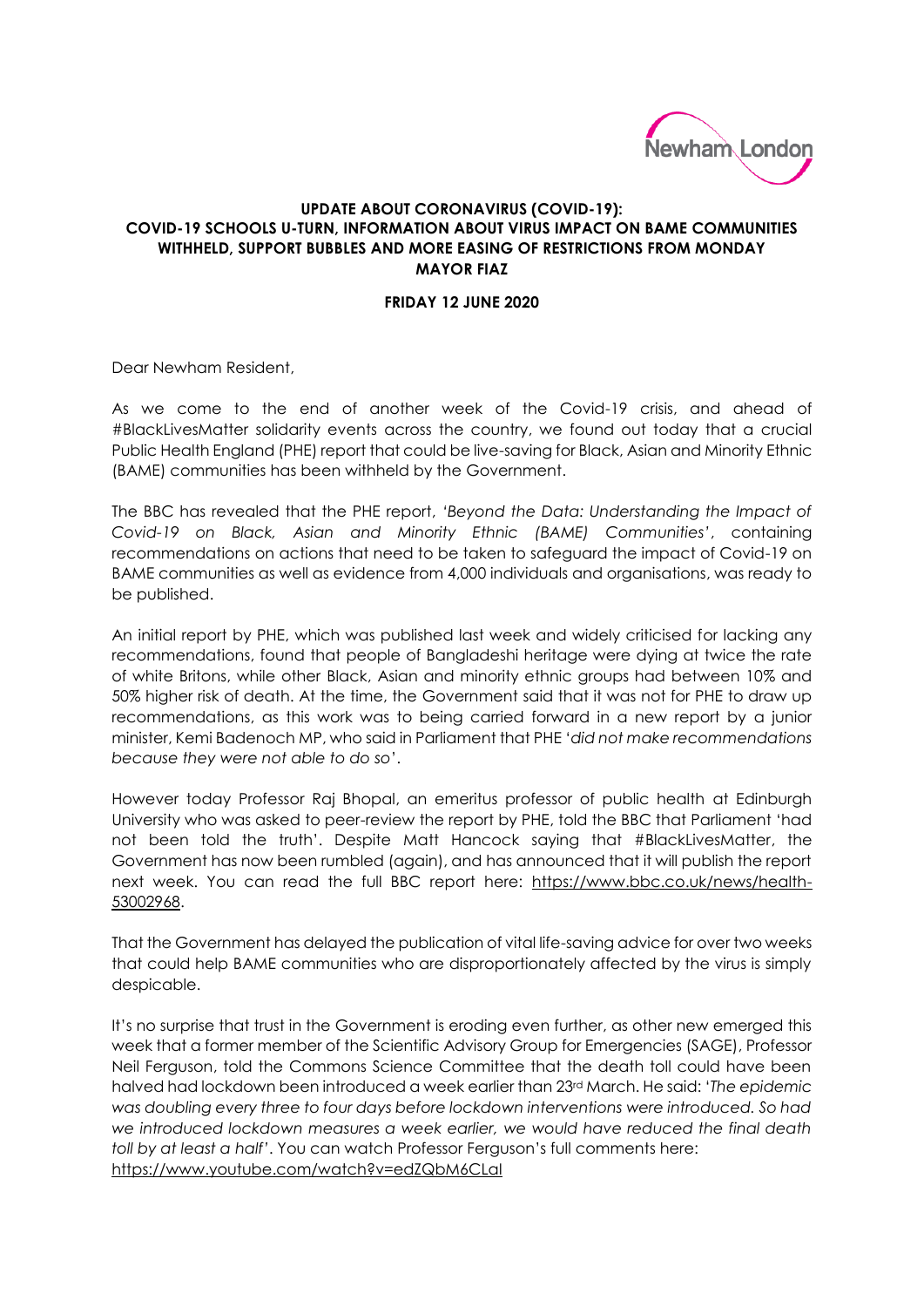

## **UPDATE ABOUT CORONAVIRUS (COVID-19): COVID-19 SCHOOLS U-TURN, INFORMATION ABOUT VIRUS IMPACT ON BAME COMMUNITIES WITHHELD, SUPPORT BUBBLES AND MORE EASING OF RESTRICTIONS FROM MONDAY MAYOR FIAZ**

## **FRIDAY 12 JUNE 2020**

Dear Newham Resident,

As we come to the end of another week of the Covid-19 crisis, and ahead of #BlackLivesMatter solidarity events across the country, we found out today that a crucial Public Health England (PHE) report that could be live-saving for Black, Asian and Minority Ethnic (BAME) communities has been withheld by the Government.

The BBC has revealed that the PHE report, *'Beyond the Data: Understanding the Impact of Covid-19 on Black, Asian and Minority Ethnic (BAME) Communities'*, containing recommendations on actions that need to be taken to safeguard the impact of Covid-19 on BAME communities as well as evidence from 4,000 individuals and organisations, was ready to be published.

An initial report by PHE, which was published last week and widely criticised for lacking any recommendations, found that people of Bangladeshi heritage were dying at twice the rate of white Britons, while other Black, Asian and minority ethnic groups had between 10% and 50% higher risk of death. At the time, the Government said that it was not for PHE to draw up recommendations, as this work was to being carried forward in a new report by a junior minister, Kemi Badenoch MP, who said in Parliament that PHE '*did not make recommendations because they were not able to do so*'.

However today Professor Raj Bhopal, an emeritus professor of public health at Edinburgh University who was asked to peer-review the report by PHE, told the BBC that Parliament 'had not been told the truth'. Despite Matt Hancock saying that #BlackLivesMatter, the Government has now been rumbled (again), and has announced that it will publish the report next week. You can read the full BBC report here: [https://www.bbc.co.uk/news/health-](https://www.bbc.co.uk/news/health-53002968)[53002968.](https://www.bbc.co.uk/news/health-53002968)

That the Government has delayed the publication of vital life-saving advice for over two weeks that could help BAME communities who are disproportionately affected by the virus is simply despicable.

It's no surprise that trust in the Government is eroding even further, as other new emerged this week that a former member of the Scientific Advisory Group for Emergencies (SAGE), Professor Neil Ferguson, told the Commons Science Committee that the death toll could have been halved had lockdown been introduced a week earlier than 23rd March. He said: '*The epidemic was doubling every three to four days before lockdown interventions were introduced. So had we introduced lockdown measures a week earlier, we would have reduced the final death toll by at least a half'*. You can watch Professor Ferguson's full comments here: <https://www.youtube.com/watch?v=edZQbM6CLaI>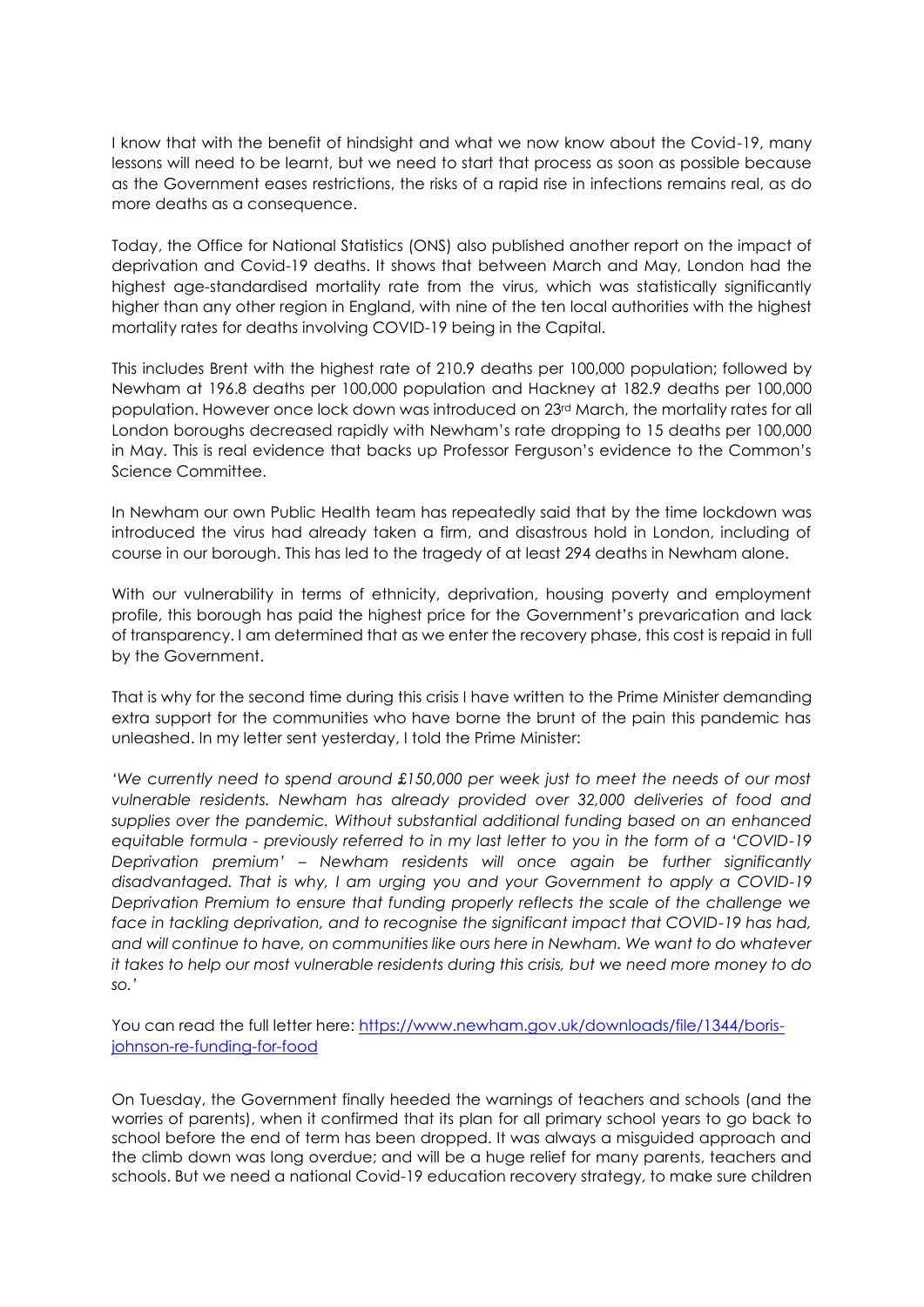I know that with the benefit of hindsight and what we now know about the Covid-19, many lessons will need to be learnt, but we need to start that process as soon as possible because as the Government eases restrictions, the risks of a rapid rise in infections remains real, as do more deaths as a consequence.

Today, the Office for National Statistics (ONS) also published another report on the impact of deprivation and Covid-19 deaths. It shows that between March and May, London had the highest age-standardised mortality rate from the virus, which was statistically significantly higher than any other region in England, with nine of the ten local authorities with the highest mortality rates for deaths involving COVID-19 being in the Capital.

This includes Brent with the highest rate of 210.9 deaths per 100,000 population; followed by Newham at 196.8 deaths per 100,000 population and Hackney at 182.9 deaths per 100,000 population. However once lock down was introduced on 23rd March, the mortality rates for all London boroughs decreased rapidly with Newham's rate dropping to 15 deaths per 100,000 in May. This is real evidence that backs up Professor Ferguson's evidence to the Common's Science Committee.

In Newham our own Public Health team has repeatedly said that by the time lockdown was introduced the virus had already taken a firm, and disastrous hold in London, including of course in our borough. This has led to the tragedy of at least 294 deaths in Newham alone.

With our vulnerability in terms of ethnicity, deprivation, housing poverty and employment profile, this borough has paid the highest price for the Government's prevarication and lack of transparency. I am determined that as we enter the recovery phase, this cost is repaid in full by the Government.

That is why for the second time during this crisis I have written to the Prime Minister demanding extra support for the communities who have borne the brunt of the pain this pandemic has unleashed. In my letter sent yesterday, I told the Prime Minister:

*'We currently need to spend around £150,000 per week just to meet the needs of our most vulnerable residents. Newham has already provided over 32,000 deliveries of food and supplies over the pandemic. Without substantial additional funding based on an enhanced equitable formula - previously referred to in my last letter to you in the form of a 'COVID-19 Deprivation premium' – Newham residents will once again be further significantly disadvantaged. That is why, I am urging you and your Government to apply a COVID-19 Deprivation Premium to ensure that funding properly reflects the scale of the challenge we face in tackling deprivation, and to recognise the significant impact that COVID-19 has had, and will continue to have, on communities like ours here in Newham. We want to do whatever it takes to help our most vulnerable residents during this crisis, but we need more money to do so.'*

You can read the full letter here: [https://www.newham.gov.uk/downloads/file/1344/boris](https://www.newham.gov.uk/downloads/file/1344/boris-johnson-re-funding-for-food)[johnson-re-funding-for-food](https://www.newham.gov.uk/downloads/file/1344/boris-johnson-re-funding-for-food)

On Tuesday, the Government finally heeded the warnings of teachers and schools (and the worries of parents), when it confirmed that its plan for all primary school years to go back to school before the end of term has been dropped. It was always a misguided approach and the climb down was long overdue; and will be a huge relief for many parents, teachers and schools. But we need a national Covid-19 education recovery strategy, to make sure children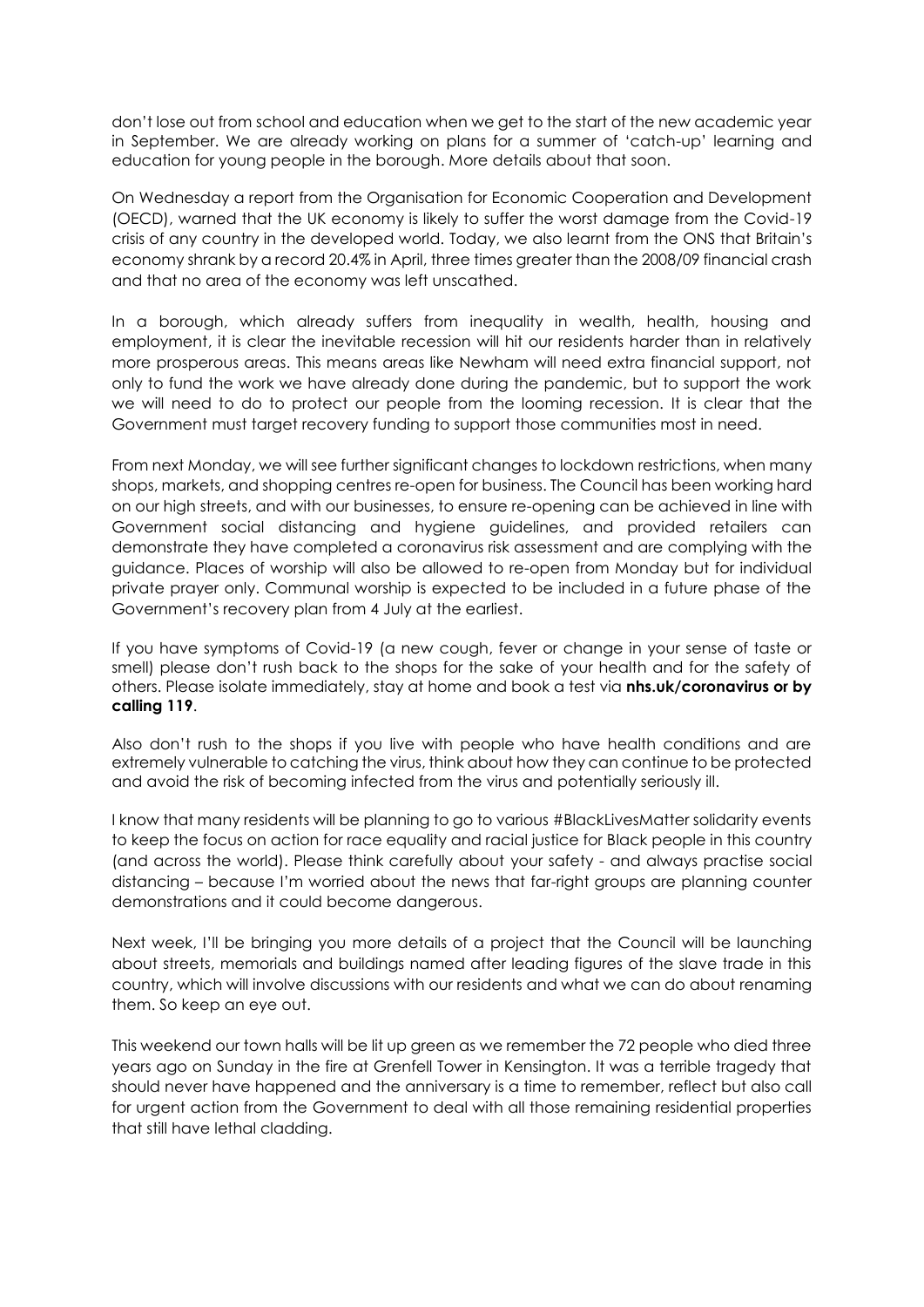don't lose out from school and education when we get to the start of the new academic year in September. We are already working on plans for a summer of 'catch-up' learning and education for young people in the borough. More details about that soon.

On Wednesday a report from the Organisation for Economic Cooperation and Development (OECD), warned that the UK economy is likely to suffer the worst damage from the Covid-19 crisis of any country in the developed world. Today, we also learnt from the ONS that Britain's economy shrank by a record 20.4% in April, three times greater than the 2008/09 financial crash and that no area of the economy was left unscathed.

In a borough, which already suffers from inequality in wealth, health, housing and employment, it is clear the inevitable recession will hit our residents harder than in relatively more prosperous areas. This means areas like Newham will need extra financial support, not only to fund the work we have already done during the pandemic, but to support the work we will need to do to protect our people from the looming recession. It is clear that the Government must target recovery funding to support those communities most in need.

From next Monday, we will see further significant changes to lockdown restrictions, when many shops, markets, and shopping centres re-open for business. The Council has been working hard on our high streets, and with our businesses, to ensure re-opening can be achieved in line with Government social distancing and hygiene guidelines, and provided retailers can demonstrate they have completed a coronavirus risk assessment and are complying with the guidance. Places of worship will also be allowed to re-open from Monday but for individual private prayer only. Communal worship is expected to be included in a future phase of the Government's recovery plan from 4 July at the earliest.

If you have symptoms of Covid-19 (a new cough, fever or change in your sense of taste or smell) please don't rush back to the shops for the sake of your health and for the safety of others. Please isolate immediately, stay at home and book a test via **nhs.uk/coronavirus or by calling 119**.

Also don't rush to the shops if you live with people who have health conditions and are extremely vulnerable to catching the virus, think about how they can continue to be protected and avoid the risk of becoming infected from the virus and potentially seriously ill.

I know that many residents will be planning to go to various #BlackLivesMatter solidarity events to keep the focus on action for race equality and racial justice for Black people in this country (and across the world). Please think carefully about your safety - and always practise social distancing – because I'm worried about the news that far-right groups are planning counter demonstrations and it could become dangerous.

Next week, I'll be bringing you more details of a project that the Council will be launching about streets, memorials and buildings named after leading figures of the slave trade in this country, which will involve discussions with our residents and what we can do about renaming them. So keep an eye out.

This weekend our town halls will be lit up green as we remember the 72 people who died three years ago on Sunday in the fire at Grenfell Tower in Kensington. It was a terrible tragedy that should never have happened and the anniversary is a time to remember, reflect but also call for urgent action from the Government to deal with all those remaining residential properties that still have lethal cladding.